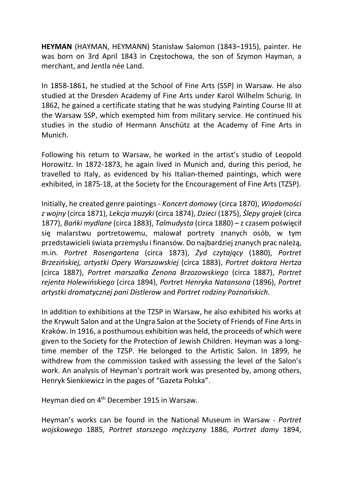HEYMAN (HAYMAN, HEYMANN) Stanisław Salomon (1843–1915), painter. He was born on 3rd April 1843 in Częstochowa, the son of Szymon Hayman, a merchant, and Jentla née Land.

In 1858-1861, he studied at the School of Fine Arts (SSP) in Warsaw. He also studied at the Dresden Academy of Fine Arts under Karol Wilhelm Schurig. In 1862, he gained a certificate stating that he was studying Painting Course III at the Warsaw SSP, which exempted him from military service. He continued his studies in the studio of Hermann Anschütz at the Academy of Fine Arts in Munich.

Following his return to Warsaw, he worked in the artist's studio of Leopold Horowitz. In 1872-1873, he again lived in Munich and, during this period, he travelled to Italy, as evidenced by his Italian-themed paintings, which were exhibited, in 1875-18, at the Society for the Encouragement of Fine Arts (TZSP).

Initially, he created genre paintings - Koncert domowy (circa 1870), Wiadomości z wojny (circa 1871), Lekcja muzyki (circa 1874), Dzieci (1875), Ślepy grajek (circa 1877), Bańki mydlane (circa 1883), Talmudysta (circa 1880) – z czasem poświęcił się malarstwu portretowemu, malował portrety znanych osób, w tym przedstawicieli świata przemysłu i finansów. Do najbardziej znanych prac należą, m.in. Portret Rosengartena (circa 1873), Żyd czytający (1880), Portret Brzezińskiej, artystki Opery Warszawskiej (circa 1883), Portret doktora Hertza (circa 1887), Portret marszałka Zenona Brzozowskiego (circa 1887), Portret rejenta Holewińskiego (circa 1894), Portret Henryka Natansona (1896), Portret artystki dramatycznej pani Distlerow and Portret rodziny Poznańskich.

In addition to exhibitions at the TZSP in Warsaw, he also exhibited his works at the Krywult Salon and at the Ungra Salon at the Society of Friends of Fine Arts in Kraków. In 1916, a posthumous exhibition was held, the proceeds of which were given to the Society for the Protection of Jewish Children. Heyman was a longtime member of the TZSP. He belonged to the Artistic Salon. In 1899, he withdrew from the commission tasked with assessing the level of the Salon's work. An analysis of Heyman's portrait work was presented by, among others, Henryk Sienkiewicz in the pages of "Gazeta Polska".

Heyman died on 4<sup>th</sup> December 1915 in Warsaw.

Heyman's works can be found in the National Museum in Warsaw - Portret wojskowego 1885, Portret starszego mężczyzny 1886, Portret damy 1894,